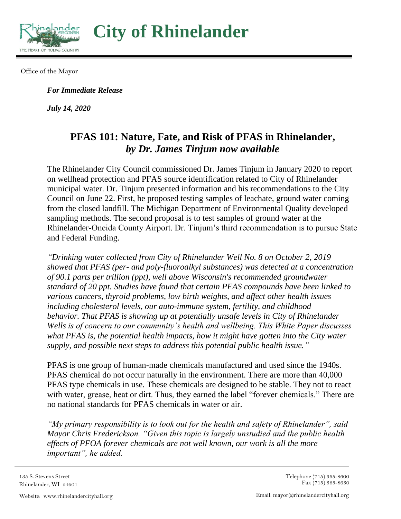

**City of Rhinelander** 

Office of the Mayor

*For Immediate Release*

*July 14, 2020*

## **PFAS 101: Nature, Fate, and Risk of PFAS in Rhinelander,** *by Dr. James Tinjum now available*

The Rhinelander City Council commissioned Dr. James Tinjum in January 2020 to report on wellhead protection and PFAS source identification related to City of Rhinelander municipal water. Dr. Tinjum presented information and his recommendations to the City Council on June 22. First, he proposed testing samples of leachate, ground water coming from the closed landfill. The Michigan Department of Environmental Quality developed sampling methods. The second proposal is to test samples of ground water at the Rhinelander-Oneida County Airport. Dr. Tinjum's third recommendation is to pursue State and Federal Funding.

*"Drinking water collected from City of Rhinelander Well No. 8 on October 2, 2019 showed that PFAS (per- and poly-fluoroalkyl substances) was detected at a concentration of 90.1 parts per trillion (ppt), well above Wisconsin's recommended groundwater standard of 20 ppt. Studies have found that certain PFAS compounds have been linked to various cancers, thyroid problems, low birth weights, and affect other health issues including cholesterol levels, our auto-immune system, fertility, and childhood behavior. That PFAS is showing up at potentially unsafe levels in City of Rhinelander Wells is of concern to our community's health and wellbeing. This White Paper discusses what PFAS is, the potential health impacts, how it might have gotten into the City water supply, and possible next steps to address this potential public health issue."*

PFAS is one group of human-made chemicals manufactured and used since the 1940s. PFAS chemical do not occur naturally in the environment. There are more than 40,000 PFAS type chemicals in use. These chemicals are designed to be stable. They not to react with water, grease, heat or dirt. Thus, they earned the label "forever chemicals." There are no national standards for PFAS chemicals in water or air.

*"My primary responsibility is to look out for the health and safety of Rhinelander", said Mayor Chris Frederickson. "Given this topic is largely unstudied and the public health effects of PFOA forever chemicals are not well known, our work is all the more important", he added.*

135 S. Stevens Street Rhinelander, WI 54501 Telephone (715) 365-8600 Fax  $(715)$  365-8630